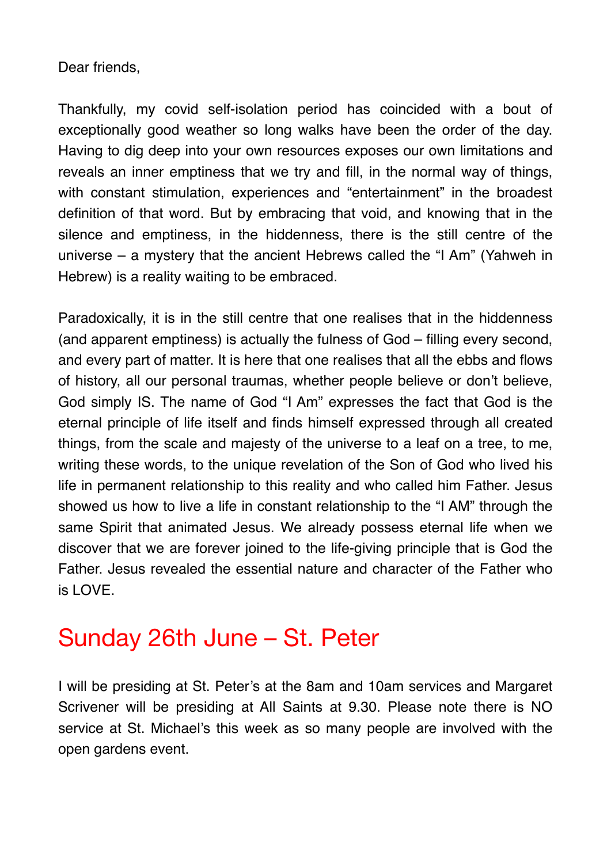## Dear friends,

Thankfully, my covid self-isolation period has coincided with a bout of exceptionally good weather so long walks have been the order of the day. Having to dig deep into your own resources exposes our own limitations and reveals an inner emptiness that we try and fill, in the normal way of things, with constant stimulation, experiences and "entertainment" in the broadest definition of that word. But by embracing that void, and knowing that in the silence and emptiness, in the hiddenness, there is the still centre of the universe – a mystery that the ancient Hebrews called the "I Am" (Yahweh in Hebrew) is a reality waiting to be embraced.

Paradoxically, it is in the still centre that one realises that in the hiddenness (and apparent emptiness) is actually the fulness of God – filling every second, and every part of matter. It is here that one realises that all the ebbs and flows of history, all our personal traumas, whether people believe or don't believe, God simply IS. The name of God "I Am" expresses the fact that God is the eternal principle of life itself and finds himself expressed through all created things, from the scale and majesty of the universe to a leaf on a tree, to me, writing these words, to the unique revelation of the Son of God who lived his life in permanent relationship to this reality and who called him Father. Jesus showed us how to live a life in constant relationship to the "I AM" through the same Spirit that animated Jesus. We already possess eternal life when we discover that we are forever joined to the life-giving principle that is God the Father. Jesus revealed the essential nature and character of the Father who is LOVE.

## Sunday 26th June – St. Peter

I will be presiding at St. Peter's at the 8am and 10am services and Margaret Scrivener will be presiding at All Saints at 9.30. Please note there is NO service at St. Michael's this week as so many people are involved with the open gardens event.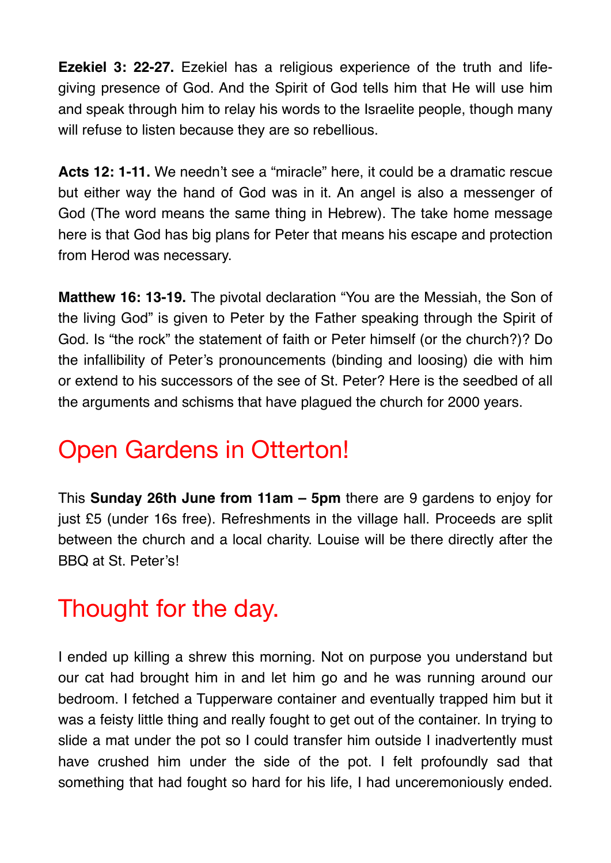**Ezekiel 3: 22-27.** Ezekiel has a religious experience of the truth and lifegiving presence of God. And the Spirit of God tells him that He will use him and speak through him to relay his words to the Israelite people, though many will refuse to listen because they are so rebellious.

**Acts 12: 1-11.** We needn't see a "miracle" here, it could be a dramatic rescue but either way the hand of God was in it. An angel is also a messenger of God (The word means the same thing in Hebrew). The take home message here is that God has big plans for Peter that means his escape and protection from Herod was necessary.

**Matthew 16: 13-19.** The pivotal declaration "You are the Messiah, the Son of the living God" is given to Peter by the Father speaking through the Spirit of God. Is "the rock" the statement of faith or Peter himself (or the church?)? Do the infallibility of Peter's pronouncements (binding and loosing) die with him or extend to his successors of the see of St. Peter? Here is the seedbed of all the arguments and schisms that have plagued the church for 2000 years.

## Open Gardens in Otterton!

This **Sunday 26th June from 11am – 5pm** there are 9 gardens to enjoy for just £5 (under 16s free). Refreshments in the village hall. Proceeds are split between the church and a local charity. Louise will be there directly after the BBQ at St. Peter's!

## Thought for the day.

I ended up killing a shrew this morning. Not on purpose you understand but our cat had brought him in and let him go and he was running around our bedroom. I fetched a Tupperware container and eventually trapped him but it was a feisty little thing and really fought to get out of the container. In trying to slide a mat under the pot so I could transfer him outside I inadvertently must have crushed him under the side of the pot. I felt profoundly sad that something that had fought so hard for his life, I had unceremoniously ended.